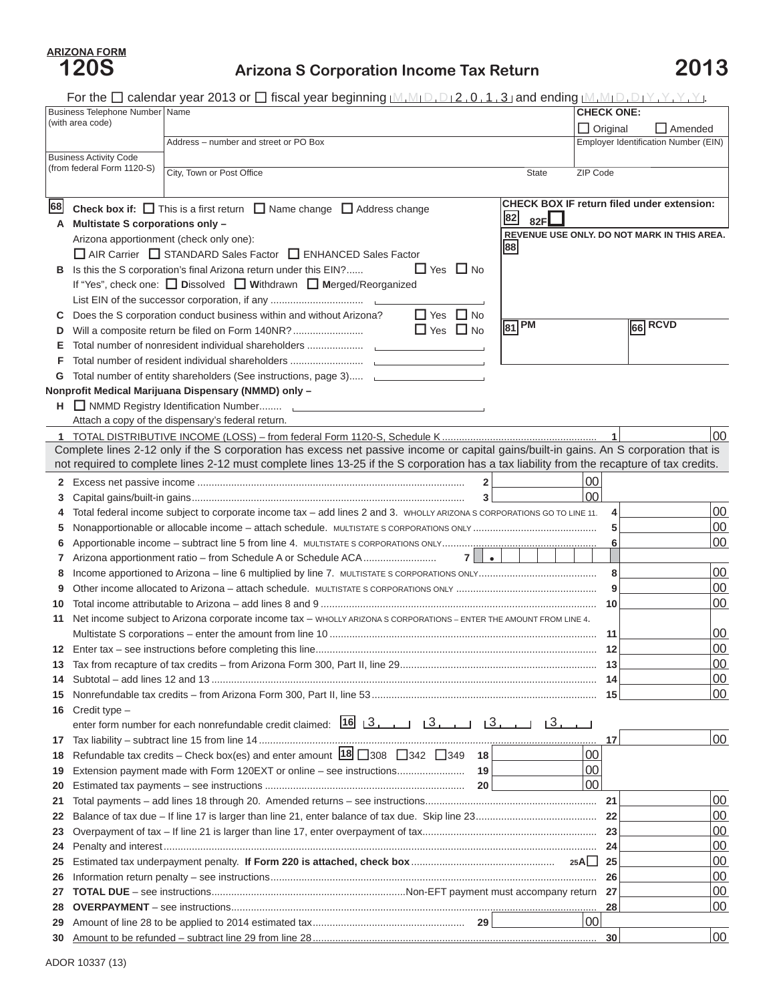## **Arizona S Corporation Income Tax Return 2013**

For the  $\Box$  calendar year 2013 or  $\Box$  fiscal year beginning  $[M_1M_1D_1D_2, 0, 1, 3]$  and ending  $[M_1M_1D_1D_1Y, Y, Y, Y]$ .

|                  | Business Telephone Number   Name |                                                                                                                                           | <b>CHECK ONE:</b>        |                                                   |
|------------------|----------------------------------|-------------------------------------------------------------------------------------------------------------------------------------------|--------------------------|---------------------------------------------------|
| (with area code) |                                  |                                                                                                                                           | $\Box$ Original          | $\Box$ Amended                                    |
|                  |                                  | Address - number and street or PO Box                                                                                                     |                          | Employer Identification Number (EIN)              |
|                  | <b>Business Activity Code</b>    |                                                                                                                                           |                          |                                                   |
|                  | (from federal Form 1120-S)       | City, Town or Post Office                                                                                                                 | ZIP Code<br><b>State</b> |                                                   |
|                  |                                  |                                                                                                                                           |                          |                                                   |
| 68               |                                  | <b>Check box if:</b> $\Box$ This is a first return $\Box$ Name change $\Box$ Address change                                               |                          | <b>CHECK BOX IF return filed under extension:</b> |
| A                | Multistate S corporations only - |                                                                                                                                           | 82 <br>82F               |                                                   |
|                  |                                  | Arizona apportionment (check only one):                                                                                                   |                          | REVENUE USE ONLY, DO NOT MARK IN THIS AREA.       |
|                  |                                  | AIR Carrier STANDARD Sales Factor ENHANCED Sales Factor                                                                                   | 88                       |                                                   |
| в                |                                  | Is this the S corporation's final Arizona return under this EIN?<br>$\Box$ Yes $\Box$ No                                                  |                          |                                                   |
|                  |                                  |                                                                                                                                           |                          |                                                   |
|                  |                                  |                                                                                                                                           |                          |                                                   |
| С                |                                  | $\Box$ Yes $\Box$ No<br>Does the S corporation conduct business within and without Arizona?                                               |                          |                                                   |
| D                |                                  | $\Box$ Yes $\Box$ No<br>Will a composite return be filed on Form 140NR?                                                                   | $ 81 $ PM                | $66$ RCVD                                         |
| Е                |                                  |                                                                                                                                           |                          |                                                   |
| F                |                                  |                                                                                                                                           |                          |                                                   |
| G                |                                  | Total number of entity shareholders (See instructions, page 3)                                                                            |                          |                                                   |
|                  |                                  | Nonprofit Medical Marijuana Dispensary (NMMD) only -                                                                                      |                          |                                                   |
| н.               |                                  | NMMD Registry Identification Number [1989] NMMD Registry Identification Number                                                            |                          |                                                   |
|                  |                                  | Attach a copy of the dispensary's federal return.                                                                                         |                          |                                                   |
| 1.               |                                  |                                                                                                                                           |                          | 00                                                |
|                  |                                  | Complete lines 2-12 only if the S corporation has excess net passive income or capital gains/built-in gains. An S corporation that is     |                          |                                                   |
|                  |                                  | not required to complete lines 2-12 must complete lines 13-25 if the S corporation has a tax liability from the recapture of tax credits. |                          |                                                   |
| 2                |                                  | $\mathbf 2$                                                                                                                               | 00                       |                                                   |
| 3                |                                  | 3                                                                                                                                         | 00                       |                                                   |
| 4                |                                  | Total federal income subject to corporate income tax - add lines 2 and 3. WHOLLY ARIZONAS CORPORATIONS GO TO LINE 11.                     |                          | 00<br>$\overline{\mathbf{4}}$                     |
| 5                |                                  |                                                                                                                                           |                          | 00<br>5                                           |
| 6                |                                  |                                                                                                                                           |                          | 00<br>6                                           |
| 7                |                                  | $\bullet$<br>7                                                                                                                            |                          | 00                                                |
| 8<br>9           |                                  |                                                                                                                                           |                          | 8<br>00<br>9                                      |
| 10               |                                  |                                                                                                                                           |                          | 00                                                |
| 11               |                                  | Net income subject to Arizona corporate income tax - WHOLLY ARIZONA S CORPORATIONS - ENTER THE AMOUNT FROM LINE 4.                        |                          |                                                   |
|                  |                                  |                                                                                                                                           |                          | 00                                                |
| 12               |                                  |                                                                                                                                           |                          | 00                                                |
| 13               |                                  |                                                                                                                                           |                          | 00                                                |
| 14               |                                  |                                                                                                                                           |                          | 00<br>14                                          |
| 15               |                                  |                                                                                                                                           |                          | 00<br>15                                          |
| 16               | Credit type -                    |                                                                                                                                           |                          |                                                   |
|                  |                                  | enter form number for each nonrefundable credit claimed: [16] [3, [16] [3, [16] [3, [16] [3, [16] [3, [16]                                |                          |                                                   |
| 17               |                                  |                                                                                                                                           |                          | 00<br>17                                          |
| 18               |                                  | Refundable tax credits – Check box(es) and enter amount $18\overline{)}308\overline{)}342\overline{)}349$<br>  18                         | 00                       |                                                   |
| 19               |                                  | 19<br>Extension payment made with Form 120EXT or online - see instructions                                                                | 00                       |                                                   |
| 20               |                                  | 20                                                                                                                                        | 00                       |                                                   |
| 21               |                                  |                                                                                                                                           |                          | 00<br>21                                          |
| 22               |                                  |                                                                                                                                           |                          | 00                                                |
| 23               |                                  |                                                                                                                                           |                          | 00                                                |
| 24               |                                  |                                                                                                                                           |                          | 00<br>24                                          |
| 25               |                                  |                                                                                                                                           | $25AI$ $\parallel$       | 00<br>25                                          |
| 26               |                                  |                                                                                                                                           |                          | 00<br>26                                          |
| 27               |                                  |                                                                                                                                           |                          | 00                                                |
| 28               |                                  |                                                                                                                                           |                          | 00<br>28                                          |
| 29               |                                  |                                                                                                                                           | $00 \,$                  |                                                   |
| 30               |                                  |                                                                                                                                           |                          | 00<br>30                                          |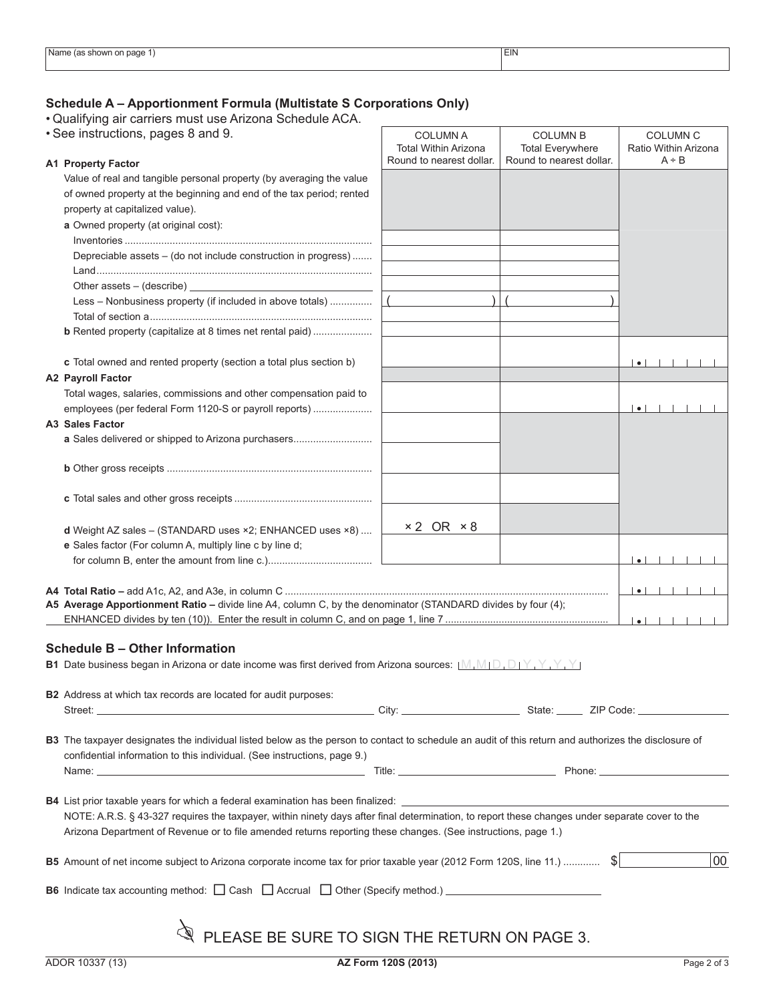## **Schedule A – Apportionment Formula (Multistate S Corporations Only)**

• Qualifying air carriers must use Arizona Schedule ACA.

| • See instructions, pages 8 and 9. |                                                                                                                                                                                          | <b>COLUMN A</b><br><b>Total Within Arizona</b> | <b>COLUMN B</b><br><b>Total Everywhere</b> | <b>COLUMN C</b><br>Ratio Within Arizona                                                                        |  |  |
|------------------------------------|------------------------------------------------------------------------------------------------------------------------------------------------------------------------------------------|------------------------------------------------|--------------------------------------------|----------------------------------------------------------------------------------------------------------------|--|--|
|                                    | <b>A1 Property Factor</b>                                                                                                                                                                | Round to nearest dollar.                       | Round to nearest dollar.                   | A ÷ B                                                                                                          |  |  |
|                                    | Value of real and tangible personal property (by averaging the value                                                                                                                     |                                                |                                            |                                                                                                                |  |  |
|                                    | of owned property at the beginning and end of the tax period; rented                                                                                                                     |                                                |                                            |                                                                                                                |  |  |
|                                    | property at capitalized value).                                                                                                                                                          |                                                |                                            |                                                                                                                |  |  |
|                                    |                                                                                                                                                                                          |                                                |                                            |                                                                                                                |  |  |
|                                    | a Owned property (at original cost):                                                                                                                                                     |                                                |                                            |                                                                                                                |  |  |
|                                    |                                                                                                                                                                                          |                                                |                                            |                                                                                                                |  |  |
|                                    | Depreciable assets - (do not include construction in progress)                                                                                                                           |                                                |                                            |                                                                                                                |  |  |
|                                    |                                                                                                                                                                                          |                                                |                                            |                                                                                                                |  |  |
|                                    | Other assets $-$ (describe)                                                                                                                                                              |                                                |                                            |                                                                                                                |  |  |
|                                    | Less - Nonbusiness property (if included in above totals)                                                                                                                                |                                                |                                            |                                                                                                                |  |  |
|                                    |                                                                                                                                                                                          |                                                |                                            |                                                                                                                |  |  |
|                                    | <b>b</b> Rented property (capitalize at 8 times net rental paid)                                                                                                                         |                                                |                                            |                                                                                                                |  |  |
|                                    |                                                                                                                                                                                          |                                                |                                            |                                                                                                                |  |  |
|                                    | c Total owned and rented property (section a total plus section b)                                                                                                                       |                                                |                                            | $\bullet$                                                                                                      |  |  |
|                                    | <b>A2 Payroll Factor</b>                                                                                                                                                                 |                                                |                                            |                                                                                                                |  |  |
|                                    | Total wages, salaries, commissions and other compensation paid to                                                                                                                        |                                                |                                            |                                                                                                                |  |  |
|                                    | employees (per federal Form 1120-S or payroll reports)                                                                                                                                   |                                                |                                            | $\bullet$ $\begin{array}{ccc} \bullet & \bullet & \bullet & \bullet & \bullet & \bullet & \bullet \end{array}$ |  |  |
|                                    | A3 Sales Factor                                                                                                                                                                          |                                                |                                            |                                                                                                                |  |  |
|                                    | a Sales delivered or shipped to Arizona purchasers                                                                                                                                       |                                                |                                            |                                                                                                                |  |  |
|                                    |                                                                                                                                                                                          |                                                |                                            |                                                                                                                |  |  |
|                                    |                                                                                                                                                                                          |                                                |                                            |                                                                                                                |  |  |
|                                    |                                                                                                                                                                                          |                                                |                                            |                                                                                                                |  |  |
|                                    |                                                                                                                                                                                          |                                                |                                            |                                                                                                                |  |  |
|                                    |                                                                                                                                                                                          |                                                |                                            |                                                                                                                |  |  |
|                                    | d Weight AZ sales - (STANDARD uses ×2; ENHANCED uses ×8)                                                                                                                                 | $×2$ OR $×8$                                   |                                            |                                                                                                                |  |  |
|                                    | e Sales factor (For column A, multiply line c by line d;                                                                                                                                 |                                                |                                            |                                                                                                                |  |  |
|                                    |                                                                                                                                                                                          |                                                |                                            | $\bullet$                                                                                                      |  |  |
|                                    |                                                                                                                                                                                          |                                                |                                            |                                                                                                                |  |  |
|                                    |                                                                                                                                                                                          |                                                |                                            | $\bullet$                                                                                                      |  |  |
|                                    | A5 Average Apportionment Ratio - divide line A4, column C, by the denominator (STANDARD divides by four (4);                                                                             |                                                |                                            |                                                                                                                |  |  |
|                                    | $  \bullet  $ $  \cdot  $ $  \cdot  $ $  \cdot  $                                                                                                                                        |                                                |                                            |                                                                                                                |  |  |
|                                    |                                                                                                                                                                                          |                                                |                                            |                                                                                                                |  |  |
|                                    | <b>Schedule B - Other Information</b>                                                                                                                                                    |                                                |                                            |                                                                                                                |  |  |
|                                    | <b>B1</b> Date business began in Arizona or date income was first derived from Arizona sources: $\mathbb{M}.\mathbb{M} \cap \mathbb{D}.\mathbb{D} \cap \mathbb{Y}.\mathbb{Y}.\mathbb{Y}$ |                                                |                                            |                                                                                                                |  |  |
|                                    |                                                                                                                                                                                          |                                                |                                            |                                                                                                                |  |  |
|                                    | <b>B2</b> Address at which tax records are located for audit purposes:                                                                                                                   |                                                |                                            |                                                                                                                |  |  |
|                                    |                                                                                                                                                                                          |                                                |                                            |                                                                                                                |  |  |
|                                    |                                                                                                                                                                                          |                                                |                                            |                                                                                                                |  |  |
|                                    | B3 The taxpayer designates the individual listed below as the person to contact to schedule an audit of this return and authorizes the disclosure of                                     |                                                |                                            |                                                                                                                |  |  |
|                                    | confidential information to this individual. (See instructions, page 9.)                                                                                                                 |                                                |                                            |                                                                                                                |  |  |
|                                    |                                                                                                                                                                                          |                                                |                                            |                                                                                                                |  |  |
|                                    |                                                                                                                                                                                          |                                                |                                            |                                                                                                                |  |  |
|                                    | <b>B4</b> List prior taxable years for which a federal examination has been finalized: __________________                                                                                |                                                |                                            |                                                                                                                |  |  |
|                                    | NOTE: A.R.S. § 43-327 requires the taxpayer, within ninety days after final determination, to report these changes under separate cover to the                                           |                                                |                                            |                                                                                                                |  |  |
|                                    | Arizona Department of Revenue or to file amended returns reporting these changes. (See instructions, page 1.)                                                                            |                                                |                                            |                                                                                                                |  |  |
|                                    |                                                                                                                                                                                          |                                                |                                            |                                                                                                                |  |  |
|                                    | B5 Amount of net income subject to Arizona corporate income tax for prior taxable year (2012 Form 120S, line 11.)  \$                                                                    |                                                |                                            | 00                                                                                                             |  |  |
|                                    |                                                                                                                                                                                          |                                                |                                            |                                                                                                                |  |  |
|                                    | B6 Indicate tax accounting method: □ Cash □ Accrual □ Other (Specify method.) _________________________________                                                                          |                                                |                                            |                                                                                                                |  |  |
|                                    |                                                                                                                                                                                          |                                                |                                            |                                                                                                                |  |  |
|                                    |                                                                                                                                                                                          |                                                |                                            |                                                                                                                |  |  |
|                                    | $\mathcal{L}$ PLEASE BE SURE TO SIGN THE RETURN ON PAGE 3.                                                                                                                               |                                                |                                            |                                                                                                                |  |  |